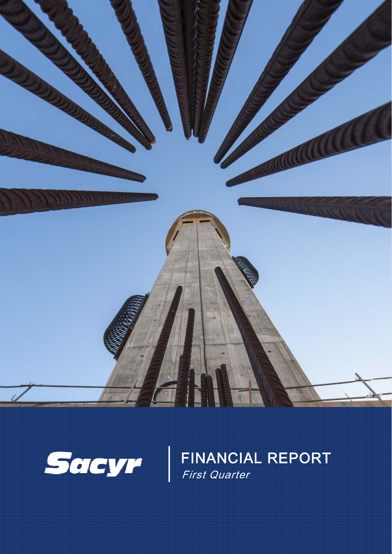



FINANCIAL REPORT First Quarter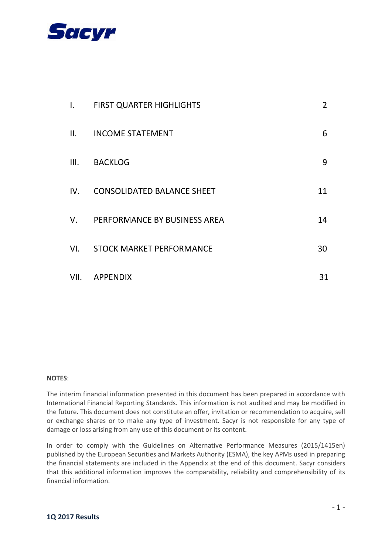

| $\mathsf{L}$ | <b>FIRST QUARTER HIGHLIGHTS</b>   | $\overline{2}$ |
|--------------|-----------------------------------|----------------|
| II.          | <b>INCOME STATEMENT</b>           | 6              |
| III.         | <b>BACKLOG</b>                    | 9              |
| IV.          | <b>CONSOLIDATED BALANCE SHEET</b> | 11             |
| V.           | PERFORMANCE BY BUSINESS AREA      | 14             |
| VI.          | <b>STOCK MARKET PERFORMANCE</b>   | 30             |
|              | VII. APPENDIX                     | 31             |

#### **NOTES**:

The interim financial information presented in this document has been prepared in accordance with International Financial Reporting Standards. This information is not audited and may be modified in the future. This document does not constitute an offer, invitation or recommendation to acquire, sell or exchange shares or to make any type of investment. Sacyr is not responsible for any type of damage or loss arising from any use of this document or its content.

In order to comply with the Guidelines on Alternative Performance Measures (2015/1415en) published by the European Securities and Markets Authority (ESMA), the key APMs used in preparing the financial statements are included in the Appendix at the end of this document. Sacyr considers that this additional information improves the comparability, reliability and comprehensibility of its financial information.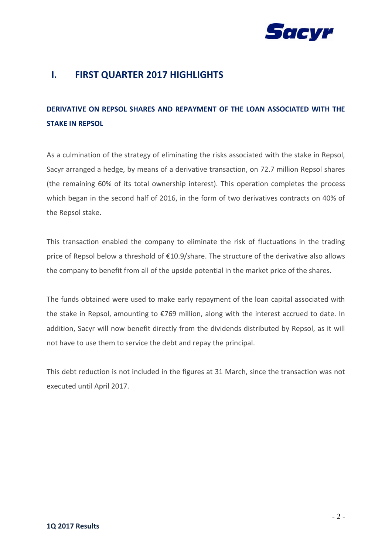

## **I. FIRST QUARTER 2017 HIGHLIGHTS**

# **DERIVATIVE ON REPSOL SHARES AND REPAYMENT OF THE LOAN ASSOCIATED WITH THE STAKE IN REPSOL**

As a culmination of the strategy of eliminating the risks associated with the stake in Repsol, Sacyr arranged a hedge, by means of a derivative transaction, on 72.7 million Repsol shares (the remaining 60% of its total ownership interest). This operation completes the process which began in the second half of 2016, in the form of two derivatives contracts on 40% of the Repsol stake.

This transaction enabled the company to eliminate the risk of fluctuations in the trading price of Repsol below a threshold of €10.9/share. The structure of the derivative also allows the company to benefit from all of the upside potential in the market price of the shares.

The funds obtained were used to make early repayment of the loan capital associated with the stake in Repsol, amounting to €769 million, along with the interest accrued to date. In addition, Sacyr will now benefit directly from the dividends distributed by Repsol, as it will not have to use them to service the debt and repay the principal.

This debt reduction is not included in the figures at 31 March, since the transaction was not executed until April 2017.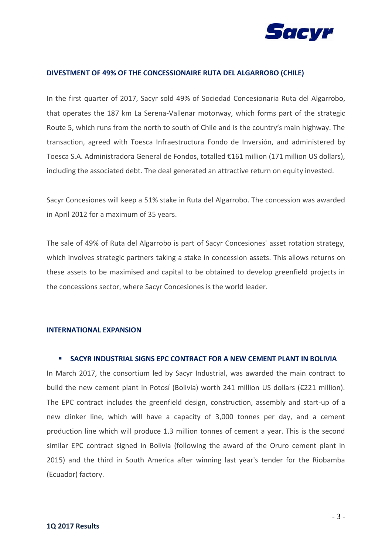

#### **DIVESTMENT OF 49% OF THE CONCESSIONAIRE RUTA DEL ALGARROBO (CHILE)**

In the first quarter of 2017, Sacyr sold 49% of Sociedad Concesionaria Ruta del Algarrobo, that operates the 187 km La Serena-Vallenar motorway, which forms part of the strategic Route 5, which runs from the north to south of Chile and is the country's main highway. The transaction, agreed with Toesca Infraestructura Fondo de Inversión, and administered by Toesca S.A. Administradora General de Fondos, totalled €161 million (171 million US dollars), including the associated debt. The deal generated an attractive return on equity invested.

Sacyr Concesiones will keep a 51% stake in Ruta del Algarrobo. The concession was awarded in April 2012 for a maximum of 35 years.

The sale of 49% of Ruta del Algarrobo is part of Sacyr Concesiones' asset rotation strategy, which involves strategic partners taking a stake in concession assets. This allows returns on these assets to be maximised and capital to be obtained to develop greenfield projects in the concessions sector, where Sacyr Concesiones is the world leader.

#### **INTERNATIONAL EXPANSION**

### **SACYR INDUSTRIAL SIGNS EPC CONTRACT FOR A NEW CEMENT PLANT IN BOLIVIA**

In March 2017, the consortium led by Sacyr Industrial, was awarded the main contract to build the new cement plant in Potosí (Bolivia) worth 241 million US dollars (€221 million). The EPC contract includes the greenfield design, construction, assembly and start-up of a new clinker line, which will have a capacity of 3,000 tonnes per day, and a cement production line which will produce 1.3 million tonnes of cement a year. This is the second similar EPC contract signed in Bolivia (following the award of the Oruro cement plant in 2015) and the third in South America after winning last year's tender for the Riobamba (Ecuador) factory.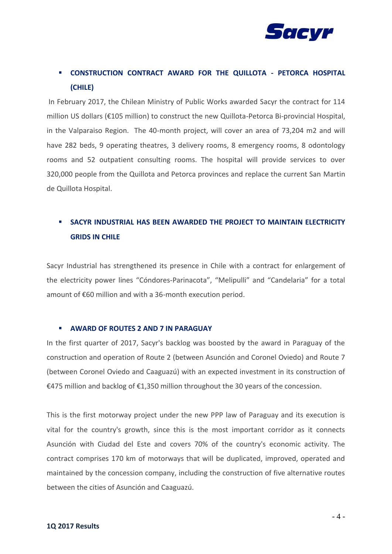

## **CONSTRUCTION CONTRACT AWARD FOR THE QUILLOTA - PETORCA HOSPITAL (CHILE)**

In February 2017, the Chilean Ministry of Public Works awarded Sacyr the contract for 114 million US dollars (€105 million) to construct the new Quillota-Petorca Bi-provincial Hospital, in the Valparaiso Region. The 40-month project, will cover an area of 73,204 m2 and will have 282 beds, 9 operating theatres, 3 delivery rooms, 8 emergency rooms, 8 odontology rooms and 52 outpatient consulting rooms. The hospital will provide services to over 320,000 people from the Quillota and Petorca provinces and replace the current San Martin de Quillota Hospital.

## **SACYR INDUSTRIAL HAS BEEN AWARDED THE PROJECT TO MAINTAIN ELECTRICITY GRIDS IN CHILE**

Sacyr Industrial has strengthened its presence in Chile with a contract for enlargement of the electricity power lines "Cóndores-Parinacota", "Melipulli" and "Candelaria" for a total amount of €60 million and with a 36-month execution period.

### **AWARD OF ROUTES 2 AND 7 IN PARAGUAY**

In the first quarter of 2017, Sacyr's backlog was boosted by the award in Paraguay of the construction and operation of Route 2 (between Asunción and Coronel Oviedo) and Route 7 (between Coronel Oviedo and Caaguazú) with an expected investment in its construction of €475 million and backlog of €1,350 million throughout the 30 years of the concession.

This is the first motorway project under the new PPP law of Paraguay and its execution is vital for the country's growth, since this is the most important corridor as it connects Asunción with Ciudad del Este and covers 70% of the country's economic activity. The contract comprises 170 km of motorways that will be duplicated, improved, operated and maintained by the concession company, including the construction of five alternative routes between the cities of Asunción and Caaguazú.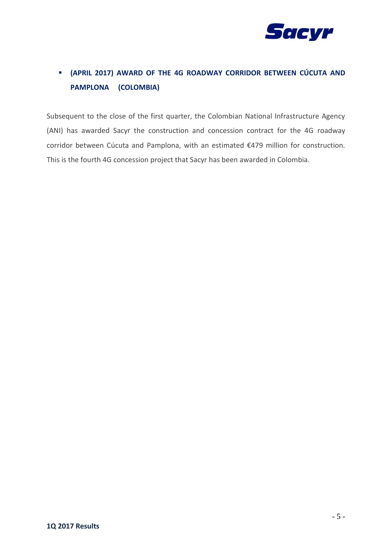

# **(APRIL 2017) AWARD OF THE 4G ROADWAY CORRIDOR BETWEEN CÚCUTA AND PAMPLONA (COLOMBIA)**

Subsequent to the close of the first quarter, the Colombian National Infrastructure Agency (ANI) has awarded Sacyr the construction and concession contract for the 4G roadway corridor between Cúcuta and Pamplona, with an estimated €479 million for construction. This is the fourth 4G concession project that Sacyr has been awarded in Colombia.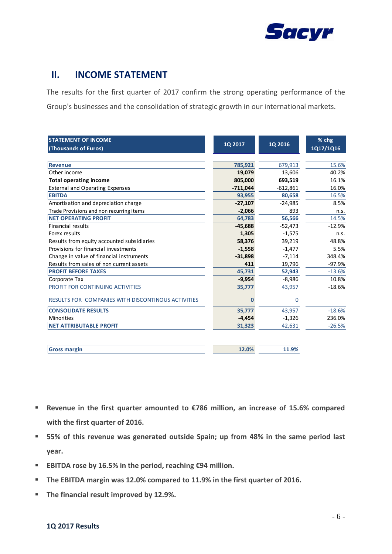

### **II. INCOME STATEMENT**

The results for the first quarter of 2017 confirm the strong operating performance of the Group's businesses and the consolidation of strategic growth in our international markets.

| <b>STATEMENT OF INCOME</b>                         |            |             | % chg     |
|----------------------------------------------------|------------|-------------|-----------|
| (Thousands of Euros)                               | 1Q 2017    | 1Q 2016     | 1Q17/1Q16 |
|                                                    |            |             |           |
| <b>Revenue</b>                                     | 785,921    | 679,913     | 15.6%     |
| Other income                                       | 19,079     | 13,606      | 40.2%     |
| <b>Total operating income</b>                      | 805,000    | 693,519     | 16.1%     |
| <b>External and Operating Expenses</b>             | $-711,044$ | $-612,861$  | 16.0%     |
| <b>EBITDA</b>                                      | 93,955     | 80,658      | 16.5%     |
| Amortisation and depreciation charge               | $-27,107$  | $-24,985$   | 8.5%      |
| Trade Provisions and non recurring items           | $-2,066$   | 893         | n.s.      |
| <b>NET OPERATING PROFIT</b>                        | 64,783     | 56,566      | 14.5%     |
| <b>Financial results</b>                           | $-45,688$  | $-52,473$   | $-12.9%$  |
| Forex results                                      | 1,305      | $-1,575$    | n.s.      |
| Results from equity accounted subsidiaries         | 58,376     | 39,219      | 48.8%     |
| Provisions for financial investments               | $-1,558$   | $-1,477$    | 5.5%      |
| Change in value of financial instruments           | $-31,898$  | $-7,114$    | 348.4%    |
| Results from sales of non current assets           | 411        | 19,796      | $-97.9%$  |
| <b>PROFIT BEFORE TAXES</b>                         | 45,731     | 52,943      | $-13.6%$  |
| Corporate Tax                                      | $-9,954$   | $-8,986$    | 10.8%     |
| PROFIT FOR CONTINUING ACTIVITIES                   | 35,777     | 43,957      | $-18.6%$  |
| RESULTS FOR COMPANIES WITH DISCONTINOUS ACTIVITIES | n          | $\mathbf 0$ |           |
| <b>CONSOLIDATE RESULTS</b>                         | 35,777     | 43,957      | $-18.6%$  |
| <b>Minorities</b>                                  | $-4,454$   | $-1,326$    | 236.0%    |
| <b>NET ATTRIBUTABLE PROFIT</b>                     | 31,323     | 42,631      | $-26.5%$  |
|                                                    |            |             |           |
| <b>Gross margin</b>                                | 12.0%      | 11.9%       |           |

- **Revenue in the first quarter amounted to €786 million, an increase of 15.6% compared with the first quarter of 2016.**
- **55% of this revenue was generated outside Spain; up from 48% in the same period last year.**
- **EBITDA rose by 16.5% in the period, reaching €94 million.**
- **The EBITDA margin was 12.0% compared to 11.9% in the first quarter of 2016.**
- **The financial result improved by 12.9%.**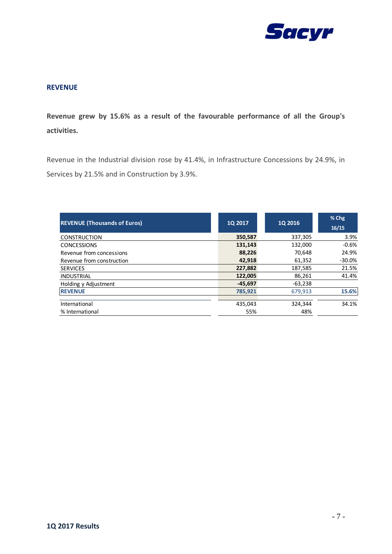

### **REVENUE**

**Revenue grew by 15.6% as a result of the favourable performance of all the Group's activities.**

Revenue in the Industrial division rose by 41.4%, in Infrastructure Concessions by 24.9%, in Services by 21.5% and in Construction by 3.9%.

| <b>REVENUE (Thousands of Euros)</b> | 1Q 2017   | <b>1Q 2016</b> | % Chg<br>16/15 |
|-------------------------------------|-----------|----------------|----------------|
| <b>CONSTRUCTION</b>                 | 350,587   | 337,305        | 3.9%           |
| <b>CONCESSIONS</b>                  | 131,143   | 132,000        | $-0.6%$        |
| Revenue from concessions            | 88,226    | 70,648         | 24.9%          |
| Revenue from construction           | 42,918    | 61,352         | $-30.0%$       |
| <b>SERVICES</b>                     | 227,882   | 187,585        | 21.5%          |
| <b>INDUSTRIAL</b>                   | 122,005   | 86,261         | 41.4%          |
| Holding y Adjustment                | $-45.697$ | $-63,238$      |                |
| <b>REVENUE</b>                      | 785,921   | 679,913        | 15.6%          |
|                                     |           |                |                |
| International                       | 435,043   | 324,344        | 34.1%          |
| % International                     | 55%       | 48%            |                |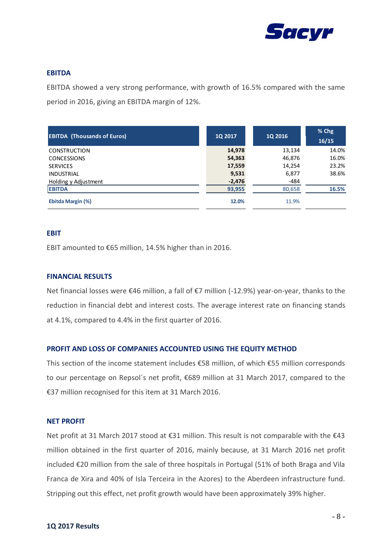

### **EBITDA**

EBITDA showed a very strong performance, with growth of 16.5% compared with the same period in 2016, giving an EBITDA margin of 12%.

| <b>EBITDA (Thousands of Euros)</b> | <b>1Q 2017</b> | <b>1Q 2016</b> | $%$ Chg<br>16/15 |
|------------------------------------|----------------|----------------|------------------|
| <b>CONSTRUCTION</b>                | 14,978         | 13,134         | 14.0%            |
| <b>CONCESSIONS</b>                 | 54,363         | 46,876         | 16.0%            |
| <b>SERVICES</b>                    | 17,559         | 14,254         | 23.2%            |
| <b>INDUSTRIAL</b>                  | 9,531          | 6,877          | 38.6%            |
| Holding y Adjustment               | $-2,476$       | $-484$         |                  |
| <b>EBITDA</b>                      | 93,955         | 80,658         | 16.5%            |
| Ebitda Margin (%)                  | 12.0%          | 11.9%          |                  |

### **EBIT**

EBIT amounted to €65 million, 14.5% higher than in 2016.

### **FINANCIAL RESULTS**

Net financial losses were €46 million, a fall of €7 million (-12.9%) year-on-year, thanks to the reduction in financial debt and interest costs. The average interest rate on financing stands at 4.1%, compared to 4.4% in the first quarter of 2016.

### **PROFIT AND LOSS OF COMPANIES ACCOUNTED USING THE EQUITY METHOD**

This section of the income statement includes €58 million, of which €55 million corresponds to our percentage on Repsol´s net profit, €689 million at 31 March 2017, compared to the €37 million recognised for this item at 31 March 2016.

#### **NET PROFIT**

Net profit at 31 March 2017 stood at €31 million. This result is not comparable with the €43 million obtained in the first quarter of 2016, mainly because, at 31 March 2016 net profit included €20 million from the sale of three hospitals in Portugal (51% of both Braga and Vila Franca de Xira and 40% of Isla Terceira in the Azores) to the Aberdeen infrastructure fund. Stripping out this effect, net profit growth would have been approximately 39% higher.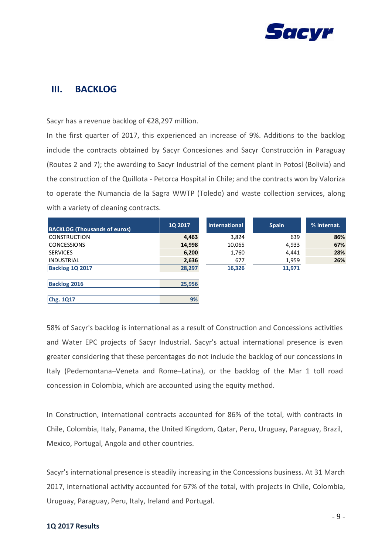

### **III. BACKLOG**

Sacyr has a revenue backlog of €28,297 million.

In the first quarter of 2017, this experienced an increase of 9%. Additions to the backlog include the contracts obtained by Sacyr Concesiones and Sacyr Construcción in Paraguay (Routes 2 and 7); the awarding to Sacyr Industrial of the cement plant in Potosí (Bolivia) and the construction of the Quillota - Petorca Hospital in Chile; and the contracts won by Valoriza to operate the Numancia de la Sagra WWTP (Toledo) and waste collection services, along with a variety of cleaning contracts.

| <b>BACKLOG (Thousands of euros)</b> | <b>1Q 2017</b> | <b>International</b> | <b>Spain</b> | % Internat. |
|-------------------------------------|----------------|----------------------|--------------|-------------|
| <b>CONSTRUCTION</b>                 | 4,463          | 3,824                | 639          | 86%         |
| <b>CONCESSIONS</b>                  | 14,998         | 10,065               | 4,933        | 67%         |
| <b>SERVICES</b>                     | 6,200          | 1,760                | 4,441        | 28%         |
| <b>INDUSTRIAL</b>                   | 2,636          | 677                  | 1,959        | 26%         |
| <b>Backlog 1Q 2017</b>              | 28,297         | 16,326               | 11,971       |             |
|                                     |                |                      |              |             |
| <b>Backlog 2016</b>                 | 25,956         |                      |              |             |
|                                     |                |                      |              |             |
| Chg. 1Q17                           | 9%             |                      |              |             |

58% of Sacyr's backlog is international as a result of Construction and Concessions activities and Water EPC projects of Sacyr Industrial. Sacyr's actual international presence is even greater considering that these percentages do not include the backlog of our concessions in Italy (Pedemontana–Veneta and Rome–Latina), or the backlog of the Mar 1 toll road concession in Colombia, which are accounted using the equity method.

In Construction, international contracts accounted for 86% of the total, with contracts in Chile, Colombia, Italy, Panama, the United Kingdom, Qatar, Peru, Uruguay, Paraguay, Brazil, Mexico, Portugal, Angola and other countries.

Sacyr's international presence is steadily increasing in the Concessions business. At 31 March 2017, international activity accounted for 67% of the total, with projects in Chile, Colombia, Uruguay, Paraguay, Peru, Italy, Ireland and Portugal.

#### **1Q 2017 Results**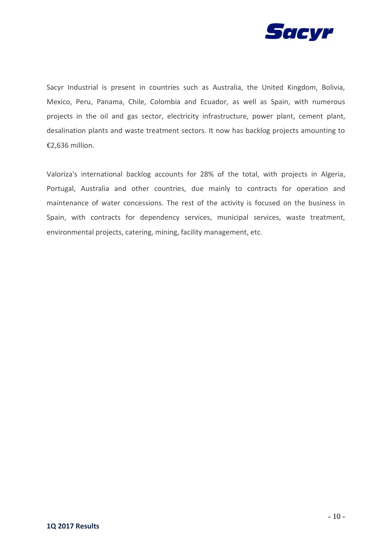

Sacyr Industrial is present in countries such as Australia, the United Kingdom, Bolivia, Mexico, Peru, Panama, Chile, Colombia and Ecuador, as well as Spain, with numerous projects in the oil and gas sector, electricity infrastructure, power plant, cement plant, desalination plants and waste treatment sectors. It now has backlog projects amounting to €2,636 million.

Valoriza's international backlog accounts for 28% of the total, with projects in Algeria, Portugal, Australia and other countries, due mainly to contracts for operation and maintenance of water concessions. The rest of the activity is focused on the business in Spain, with contracts for dependency services, municipal services, waste treatment, environmental projects, catering, mining, facility management, etc.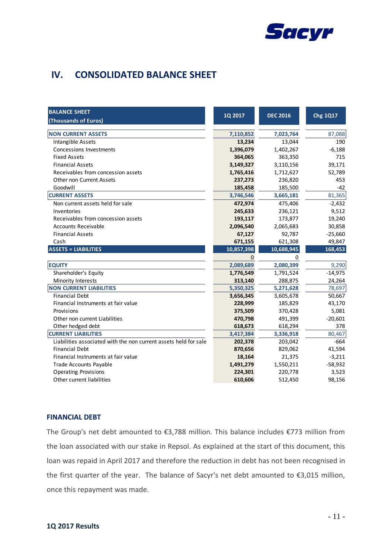

## **IV. CONSOLIDATED BALANCE SHEET**

| <b>BALANCE SHEET</b><br>(Thousands of Euros)                     | 1Q 2017    | <b>DEC 2016</b> | Chg 1Q17  |
|------------------------------------------------------------------|------------|-----------------|-----------|
| <b>NON CURRENT ASSETS</b>                                        | 7,110,852  | 7,023,764       | 87,088    |
| Intangible Assets                                                | 13,234     | 13,044          | 190       |
| Concessions Investments                                          | 1,396,079  | 1,402,267       | $-6,188$  |
| <b>Fixed Assets</b>                                              | 364,065    | 363,350         | 715       |
| <b>Financial Assets</b>                                          | 3,149,327  | 3,110,156       | 39,171    |
| Receivables from concession assets                               | 1,765,416  | 1,712,627       | 52,789    |
| <b>Other non Current Assets</b>                                  | 237,273    | 236,820         | 453       |
| Goodwill                                                         | 185,458    | 185,500         | $-42$     |
| <b>CURRENT ASSETS</b>                                            | 3,746,546  | 3,665,181       | 81,365    |
| Non current assets held for sale                                 | 472,974    | 475,406         | $-2,432$  |
| Inventories                                                      | 245,633    | 236,121         | 9,512     |
| Receivables from concession assets                               | 193,117    | 173,877         | 19,240    |
| <b>Accounts Receivable</b>                                       | 2,096,540  | 2,065,683       | 30,858    |
| <b>Financial Assets</b>                                          | 67,127     | 92,787          | $-25,660$ |
| Cash                                                             | 671,155    | 621,308         | 49,847    |
| <b>ASSETS = LIABILITIES</b>                                      | 10,857,398 | 10,688,945      | 168,453   |
|                                                                  | $\Omega$   | 0               |           |
| <b>EQUITY</b>                                                    | 2,089,689  | 2,080,399       | 9,290     |
| Shareholder's Equity                                             | 1,776,549  | 1,791,524       | $-14,975$ |
| Minority Interests                                               | 313,140    | 288,875         | 24,264    |
| <b>NON CURRENT LIABILITIES</b>                                   | 5,350,325  | 5,271,628       | 78,697    |
| <b>Financial Debt</b>                                            | 3,656,345  | 3,605,678       | 50,667    |
| Financial Instruments at fair value                              | 228,999    | 185,829         | 43,170    |
| Provisions                                                       | 375,509    | 370,428         | 5,081     |
| Other non current Liabilities                                    | 470,798    | 491,399         | $-20,601$ |
| Other hedged debt                                                | 618,673    | 618,294         | 378       |
| <b>CURRENT LIABILITIES</b>                                       | 3,417,384  | 3,336,918       | 80,467    |
| Liabilities associated with the non current assets held for sale | 202,378    | 203,042         | $-664$    |
| <b>Financial Debt</b>                                            | 870,656    | 829,062         | 41,594    |
| Financial Instruments at fair value                              | 18,164     | 21,375          | $-3,211$  |
| Trade Accounts Payable                                           | 1,491,279  | 1,550,211       | $-58,932$ |
| <b>Operating Provisions</b>                                      | 224,301    | 220,778         | 3,523     |
| Other current liabilities                                        | 610,606    | 512,450         | 98,156    |

### **FINANCIAL DEBT**

The Group's net debt amounted to €3,788 million. This balance includes €773 million from the loan associated with our stake in Repsol. As explained at the start of this document, this loan was repaid in April 2017 and therefore the reduction in debt has not been recognised in the first quarter of the year. The balance of Sacyr's net debt amounted to €3,015 million, once this repayment was made.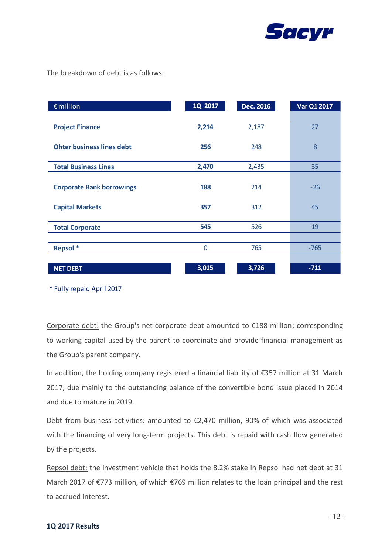

The breakdown of debt is as follows:

| $\epsilon$ million               | 1Q 2017 | <b>Dec. 2016</b> | Var Q1 2017 |
|----------------------------------|---------|------------------|-------------|
| <b>Project Finance</b>           | 2,214   | 2,187            | 27          |
| <b>Ohter business lines debt</b> | 256     | 248              | 8           |
| <b>Total Business Lines</b>      | 2,470   | 2,435            | 35          |
| <b>Corporate Bank borrowings</b> | 188     | 214              | $-26$       |
| <b>Capital Markets</b>           | 357     | 312              | 45          |
| <b>Total Corporate</b>           | 545     | 526              | 19          |
|                                  |         |                  |             |
| Repsol <sup>*</sup>              | 0       | 765              | $-765$      |
|                                  |         |                  |             |
| <b>NET DEBT</b>                  | 3,015   | 3,726            | $-711$      |

\* Fully repaid April 2017

Corporate debt: the Group's net corporate debt amounted to €188 million; corresponding to working capital used by the parent to coordinate and provide financial management as the Group's parent company.

In addition, the holding company registered a financial liability of €357 million at 31 March 2017, due mainly to the outstanding balance of the convertible bond issue placed in 2014 and due to mature in 2019.

Debt from business activities: amounted to €2,470 million, 90% of which was associated with the financing of very long-term projects. This debt is repaid with cash flow generated by the projects.

Repsol debt: the investment vehicle that holds the 8.2% stake in Repsol had net debt at 31 March 2017 of €773 million, of which €769 million relates to the loan principal and the rest to accrued interest.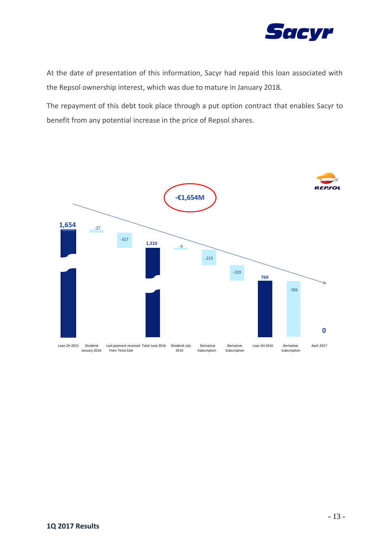

At the date of presentation of this information, Sacyr had repaid this loan associated with the Repsol ownership interest, which was due to mature in January 2018.

The repayment of this debt took place through a put option contract that enables Sacyr to benefit from any potential increase in the price of Repsol shares.

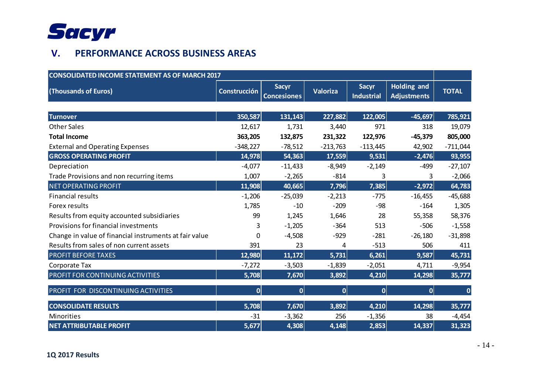

# **V. PERFORMANCE ACROSS BUSINESS AREAS**

| <b>CONSOLIDATED INCOME STATEMENT AS OF MARCH 2017</b>  |                     |                                    |                  |                                   |                                          |              |
|--------------------------------------------------------|---------------------|------------------------------------|------------------|-----------------------------------|------------------------------------------|--------------|
| (Thousands of Euros)                                   | <b>Construcción</b> | <b>Sacyr</b><br><b>Concesiones</b> | Valoriza         | <b>Sacyr</b><br><b>Industrial</b> | <b>Holding and</b><br><b>Adjustments</b> | <b>TOTAL</b> |
|                                                        |                     |                                    |                  |                                   |                                          |              |
| <b>Turnover</b>                                        | 350,587             | 131,143                            | 227,882          | 122,005                           | $-45,697$                                | 785,921      |
| <b>Other Sales</b>                                     | 12,617              | 1,731                              | 3,440            | 971                               | 318                                      | 19,079       |
| <b>Total Income</b>                                    | 363,205             | 132,875                            | 231,322          | 122,976                           | $-45,379$                                | 805,000      |
| <b>External and Operating Expenses</b>                 | $-348,227$          | $-78,512$                          | $-213,763$       | $-113,445$                        | 42,902                                   | $-711,044$   |
| <b>GROSS OPERATING PROFIT</b>                          | 14,978              | 54,363                             | 17,559           | 9,531                             | $-2,476$                                 | 93,955       |
| Depreciation                                           | $-4,077$            | $-11,433$                          | $-8,949$         | $-2,149$                          | -499                                     | $-27,107$    |
| Trade Provisions and non recurring items               | 1,007               | $-2,265$                           | $-814$           | 3                                 | 3                                        | $-2,066$     |
| <b>NET OPERATING PROFIT</b>                            | 11,908              | 40,665                             | 7,796            | 7,385                             | $-2,972$                                 | 64,783       |
| <b>Financial results</b>                               | $-1,206$            | $-25,039$                          | $-2,213$         | $-775$                            | $-16,455$                                | $-45,688$    |
| Forex results                                          | 1,785               | $-10$                              | $-209$           | $-98$                             | $-164$                                   | 1,305        |
| Results from equity accounted subsidiaries             | 99                  | 1,245                              | 1,646            | 28                                | 55,358                                   | 58,376       |
| Provisions for financial investments                   | 3                   | $-1,205$                           | $-364$           | 513                               | $-506$                                   | $-1,558$     |
| Change in value of financial instruments at fair value | 0                   | $-4,508$                           | $-929$           | $-281$                            | $-26,180$                                | $-31,898$    |
| Results from sales of non current assets               | 391                 | 23                                 | 4                | $-513$                            | 506                                      | 411          |
| <b>PROFIT BEFORE TAXES</b>                             | 12,980              | 11,172                             | 5,731            | 6,261                             | 9,587                                    | 45,731       |
| Corporate Tax                                          | $-7,272$            | $-3,503$                           | $-1,839$         | $-2,051$                          | 4,711                                    | $-9,954$     |
| PROFIT FOR CONTINUING ACTIVITIES                       | 5,708               | 7,670                              | 3,892            | 4,210                             | 14,298                                   | 35,777       |
| PROFIT FOR DISCONTINUING ACTIVITIES                    | 0                   | 0                                  | $\boldsymbol{0}$ | $\mathbf{0}$                      | $\mathbf 0$                              | $\bf{0}$     |
| <b>CONSOLIDATE RESULTS</b>                             | 5,708               | 7,670                              | 3,892            | 4,210                             | 14,298                                   | 35,777       |
| Minorities                                             | $-31$               | $-3,362$                           | 256              | $-1,356$                          | 38                                       | $-4,454$     |
| <b>NET ATTRIBUTABLE PROFIT</b>                         | 5,677               | 4,308                              | 4,148            | 2,853                             | 14,337                                   | 31,323       |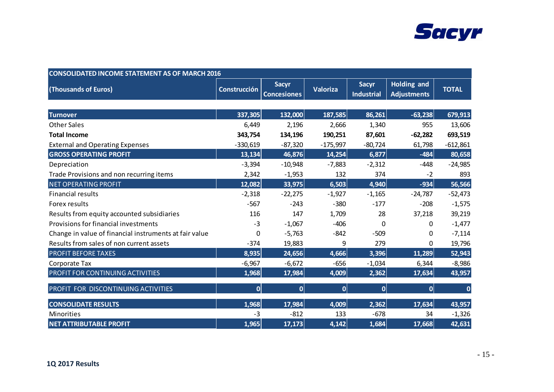

| <b>CONSOLIDATED INCOME STATEMENT AS OF MARCH 2016</b>  |              |                                    |              |                                   |                                          |              |
|--------------------------------------------------------|--------------|------------------------------------|--------------|-----------------------------------|------------------------------------------|--------------|
| (Thousands of Euros)                                   | Construcción | <b>Sacyr</b><br><b>Concesiones</b> | Valoriza     | <b>Sacyr</b><br><b>Industrial</b> | <b>Holding and</b><br><b>Adjustments</b> | <b>TOTAL</b> |
|                                                        |              |                                    |              |                                   |                                          |              |
| <b>Turnover</b>                                        | 337,305      | 132,000                            | 187,585      | 86,261                            | $-63,238$                                | 679,913      |
| <b>Other Sales</b>                                     | 6,449        | 2,196                              | 2,666        | 1,340                             | 955                                      | 13,606       |
| <b>Total Income</b>                                    | 343,754      | 134,196                            | 190,251      | 87,601                            | $-62,282$                                | 693,519      |
| <b>External and Operating Expenses</b>                 | $-330,619$   | $-87,320$                          | $-175,997$   | $-80,724$                         | 61,798                                   | $-612,861$   |
| <b>GROSS OPERATING PROFIT</b>                          | 13,134       | 46,876                             | 14,254       | 6,877                             | $-484$                                   | 80,658       |
| Depreciation                                           | $-3,394$     | $-10,948$                          | $-7,883$     | $-2,312$                          | $-448$                                   | $-24,985$    |
| Trade Provisions and non recurring items               | 2,342        | $-1,953$                           | 132          | 374                               | $-2$                                     | 893          |
| <b>NET OPERATING PROFIT</b>                            | 12,082       | 33,975                             | 6,503        | 4,940                             | $-934$                                   | 56,566       |
| <b>Financial results</b>                               | $-2,318$     | $-22,275$                          | $-1,927$     | $-1,165$                          | $-24,787$                                | $-52,473$    |
| Forex results                                          | $-567$       | $-243$                             | $-380$       | $-177$                            | $-208$                                   | $-1,575$     |
| Results from equity accounted subsidiaries             | 116          | 147                                | 1,709        | 28                                | 37,218                                   | 39,219       |
| Provisions for financial investments                   | $-3$         | $-1,067$                           | $-406$       | 0                                 | $\Omega$                                 | $-1,477$     |
| Change in value of financial instruments at fair value | 0            | $-5,763$                           | $-842$       | $-509$                            | 0                                        | $-7,114$     |
| Results from sales of non current assets               | $-374$       | 19,883                             | 9            | 279                               | $\Omega$                                 | 19,796       |
| <b>PROFIT BEFORE TAXES</b>                             | 8,935        | 24,656                             | 4,666        | 3,396                             | 11,289                                   | 52,943       |
| Corporate Tax                                          | $-6,967$     | $-6,672$                           | $-656$       | $-1,034$                          | 6,344                                    | $-8,986$     |
| PROFIT FOR CONTINUING ACTIVITIES                       | 1,968        | 17,984                             | 4,009        | 2,362                             | 17,634                                   | 43,957       |
| PROFIT FOR DISCONTINUING ACTIVITIES                    | 0            | 0                                  | $\mathbf{0}$ | 0                                 | $\boldsymbol{0}$                         | $\mathbf{0}$ |
| <b>CONSOLIDATE RESULTS</b>                             | 1,968        | 17,984                             | 4,009        | 2,362                             | 17,634                                   | 43,957       |
| <b>Minorities</b>                                      | $-3$         | $-812$                             | 133          | $-678$                            | 34                                       | $-1,326$     |
| <b>NET ATTRIBUTABLE PROFIT</b>                         | 1,965        | 17,173                             | 4,142        | 1,684                             | 17,668                                   | 42,631       |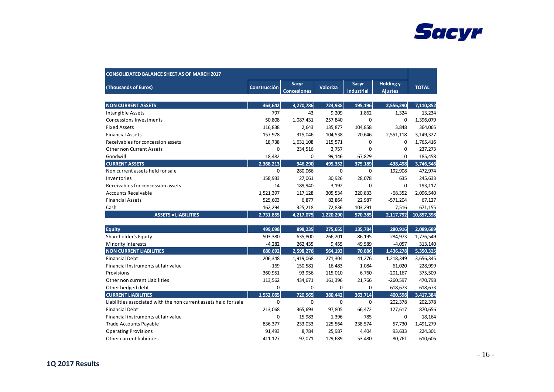

| <b>CONSOLIDATED BALANCE SHEET AS OF MARCH 2017</b>               |                     |                             |                 |                                   |                                    |              |
|------------------------------------------------------------------|---------------------|-----------------------------|-----------------|-----------------------------------|------------------------------------|--------------|
| (Thousands of Euros)                                             | <b>Construcción</b> | Sacyr<br><b>Concesiones</b> | <b>Valoriza</b> | <b>Sacyr</b><br><b>Industrial</b> | <b>Holding y</b><br><b>Ajustes</b> | <b>TOTAL</b> |
| <b>NON CURRENT ASSETS</b>                                        | 363.642             | 3,270,786                   | 724,938         | 195.196                           | 2,556,290                          | 7,110,852    |
| <b>Intangible Assets</b>                                         | 797                 | 43                          | 9,209           | 1,862                             | 1,324                              | 13,234       |
| <b>Concessions Investments</b>                                   | 50,808              | 1,087,431                   | 257,840         | $\mathbf 0$                       | 0                                  | 1,396,079    |
| <b>Fixed Assets</b>                                              | 116,838             | 2,643                       | 135,877         | 104,858                           | 3,848                              | 364,065      |
| <b>Financial Assets</b>                                          | 157,978             | 315,046                     | 104,538         | 20,646                            | 2,551,118                          | 3,149,327    |
| Receivables for concession assets                                | 18,738              | 1,631,108                   | 115,571         | $\mathbf 0$                       | 0                                  | 1,765,416    |
| <b>Other non Current Assets</b>                                  | $\mathbf{0}$        | 234,516                     | 2,757           | $\Omega$                          | 0                                  | 237,273      |
| Goodwill                                                         | 18,482              | $\mathbf 0$                 | 99,146          | 67,829                            | 0                                  | 185,458      |
| <b>CURRENT ASSETS</b>                                            | 2,368,213           | 946,290                     | 495,352         | 375,189                           | $-438,498$                         | 3,746,546    |
| Non current assets held for sale                                 | $\Omega$            | 280,066                     | $\mathbf 0$     | $\mathbf 0$                       | 192,908                            | 472,974      |
| Inventories                                                      | 158,933             | 27,061                      | 30,926          | 28,078                            | 635                                | 245,633      |
| Receivables for concession assets                                | $-14$               | 189,940                     | 3,192           | $\mathbf 0$                       | $\mathbf 0$                        | 193,117      |
| <b>Accounts Receivable</b>                                       | 1,521,397           | 117,128                     | 305,534         | 220,833                           | $-68,352$                          | 2,096,540    |
| <b>Financial Assets</b>                                          | 525,603             | 6,877                       | 82,864          | 22,987                            | $-571,204$                         | 67,127       |
| Cash                                                             | 162,294             | 325,218                     | 72,836          | 103,291                           | 7,516                              | 671,155      |
| <b>ASSETS = LIABILITIES</b>                                      | 2,731,855           | 4,217,075                   | 1,220,290       | 570,385                           | 2,117,792                          | 10,857,398   |
| <b>Equity</b>                                                    | 499,098             | 898,235                     | 275,655         | 135,784                           | 280,916                            | 2,089,689    |
| Shareholder's Equity                                             | 503,380             | 635,800                     | 266,201         | 86,195                            | 284,973                            | 1,776,549    |
| <b>Minority Interests</b>                                        | $-4,282$            | 262,435                     | 9,455           | 49,589                            | $-4,057$                           | 313,140      |
| <b>NON CURRENT LIABILITIES</b>                                   | 680,692             | 2,598,276                   | 564,193         | 70,886                            | 1,436,278                          | 5,350,325    |
| <b>Financial Debt</b>                                            | 206,348             | 1,919,068                   | 271,304         | 41,276                            | 1,218,349                          | 3,656,345    |
| Financial Instruments at fair value                              | $-169$              | 150,581                     | 16,483          | 1,084                             | 61,020                             | 228,999      |
| Provisions                                                       | 360,951             | 93,956                      | 115,010         | 6,760                             | $-201,167$                         | 375,509      |
| Other non current Liabilities                                    | 113,562             | 434,671                     | 161,396         | 21,766                            | $-260,597$                         | 470,798      |
| Other hedged debt                                                | $\mathbf{0}$        | $\mathbf 0$                 | 0               | 0                                 | 618,673                            | 618,673      |
| <b>CURRENT LIABILITIES</b>                                       | 1,552,065           | 720,565                     | 380,442         | 363,714                           | 400,598                            | 3,417,384    |
| Liabilities associated with the non current assets held for sale | $\mathbf 0$         | $\mathbf 0$                 | $\mathbf 0$     | $\mathbf 0$                       | 202,378                            | 202,378      |
| <b>Financial Debt</b>                                            | 213,068             | 365,693                     | 97,805          | 66,472                            | 127,617                            | 870,656      |
| Financial instruments at fair value                              | 0                   | 15,983                      | 1,396           | 785                               | 0                                  | 18,164       |
| Trade Accounts Payable                                           | 836,377             | 233,033                     | 125,564         | 238,574                           | 57,730                             | 1,491,279    |
| <b>Operating Provisions</b>                                      | 91,493              | 8,784                       | 25,987          | 4,404                             | 93,633                             | 224,301      |
| Other current liabilities                                        | 411,127             | 97,071                      | 129,689         | 53,480                            | $-80,761$                          | 610,606      |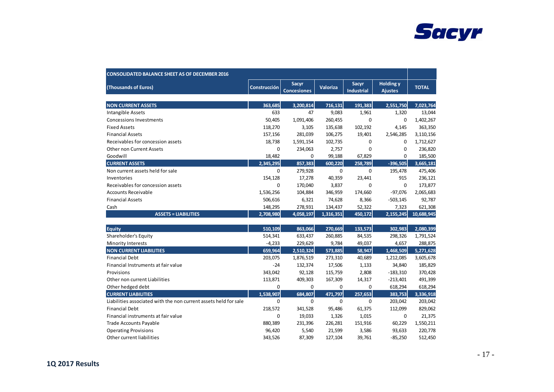

| <b>CONSOLIDATED BALANCE SHEET AS OF DECEMBER 2016</b>            |                     |                             |                 |                            |                                    |              |
|------------------------------------------------------------------|---------------------|-----------------------------|-----------------|----------------------------|------------------------------------|--------------|
| (Thousands of Euros)                                             | <b>Construcción</b> | Sacyr<br><b>Concesiones</b> | <b>Valoriza</b> | Sacyr<br><b>Industrial</b> | <b>Holding y</b><br><b>Ajustes</b> | <b>TOTAL</b> |
| <b>NON CURRENT ASSETS</b>                                        | 363.685             | 3,200,814                   | 716,131         | 191,383                    | 2,551,750                          | 7,023,764    |
| <b>Intangible Assets</b>                                         | 633                 | 47                          | 9,083           | 1,961                      | 1,320                              | 13,044       |
| <b>Concessions Investments</b>                                   | 50,405              | 1,091,406                   | 260,455         | $\mathbf 0$                | 0                                  | 1,402,267    |
| <b>Fixed Assets</b>                                              | 118,270             | 3,105                       | 135,638         | 102,192                    | 4,145                              | 363,350      |
| <b>Financial Assets</b>                                          | 157,156             | 281,039                     | 106,275         | 19,401                     | 2,546,285                          | 3,110,156    |
| Receivables for concession assets                                | 18,738              | 1,591,154                   | 102,735         | 0                          | 0                                  | 1,712,627    |
| Other non Current Assets                                         | 0                   | 234,063                     | 2,757           | $\mathbf 0$                | 0                                  | 236,820      |
| Goodwill                                                         | 18,482              | 0                           | 99,188          | 67,829                     | 0                                  | 185,500      |
| <b>CURRENT ASSETS</b>                                            | 2,345,295           | 857,383                     | 600,220         | 258,789                    | $-396,505$                         | 3,665,181    |
| Non current assets held for sale                                 | $\mathbf 0$         | 279,928                     | 0               | 0                          | 195,478                            | 475,406      |
| Inventories                                                      | 154,128             | 17,278                      | 40,359          | 23,441                     | 915                                | 236,121      |
| Receivables for concession assets                                | $\Omega$            | 170,040                     | 3,837           | $\mathbf 0$                | $\mathbf 0$                        | 173,877      |
| <b>Accounts Receivable</b>                                       | 1,536,256           | 104,884                     | 346,959         | 174,660                    | $-97,076$                          | 2,065,683    |
| <b>Financial Assets</b>                                          | 506,616             | 6,321                       | 74,628          | 8,366                      | $-503,145$                         | 92,787       |
| Cash                                                             | 148,295             | 278,931                     | 134,437         | 52,322                     | 7,323                              | 621,308      |
| <b>ASSETS = LIABILITIES</b>                                      | 2,708,980           | 4,058,197                   | 1,316,351       | 450,172                    | 2,155,245                          | 10,688,945   |
|                                                                  |                     |                             |                 |                            |                                    |              |
| <b>Equity</b>                                                    | 510,109             | 863,066                     | 270,669         | 133,573                    | 302,983                            | 2,080,399    |
| Shareholder's Equity                                             | 514,341             | 633,437                     | 260,885         | 84,535                     | 298,326                            | 1,791,524    |
| Minority Interests                                               | $-4,233$            | 229,629                     | 9,784           | 49,037                     | 4,657                              | 288,875      |
| <b>NON CURRENT LIABILITIES</b>                                   | 659,964             | 2,510,324                   | 573,885         | 58,947                     | 1,468,509                          | 5,271,628    |
| <b>Financial Debt</b>                                            | 203,075             | 1,876,519                   | 273,310         | 40,689                     | 1,212,085                          | 3,605,678    |
| Financial Instruments at fair value                              | $-24$               | 132,374                     | 17,506          | 1,133                      | 34,840                             | 185,829      |
| Provisions                                                       | 343,042             | 92,128                      | 115,759         | 2,808                      | $-183,310$                         | 370,428      |
| Other non current Liabilities                                    | 113,871             | 409,303                     | 167,309         | 14,317                     | $-213,401$                         | 491,399      |
| Other hedged debt                                                | $\Omega$            | $\mathbf 0$                 | $\Omega$        | 0                          | 618,294                            | 618,294      |
| <b>CURRENT LIABILITIES</b>                                       | 1,538,907           | 684,807                     | 471,797         | 257,653                    | 383,753                            | 3,336,918    |
| Liabilities associated with the non current assets held for sale | $\mathbf 0$         | $\mathbf 0$                 | 0               | $\mathbf 0$                | 203,042                            | 203,042      |
| <b>Financial Debt</b>                                            | 218,572             | 341,528                     | 95,486          | 61,375                     | 112,099                            | 829,062      |
| Financial instruments at fair value                              | 0                   | 19,033                      | 1,326           | 1,015                      | 0                                  | 21,375       |
| <b>Trade Accounts Payable</b>                                    | 880,389             | 231,396                     | 226,281         | 151,916                    | 60,229                             | 1,550,211    |
| <b>Operating Provisions</b>                                      | 96,420              | 5,540                       | 21,599          | 3,586                      | 93,633                             | 220,778      |
| Other current liabilities                                        | 343,526             | 87,309                      | 127,104         | 39,761                     | $-85,250$                          | 512,450      |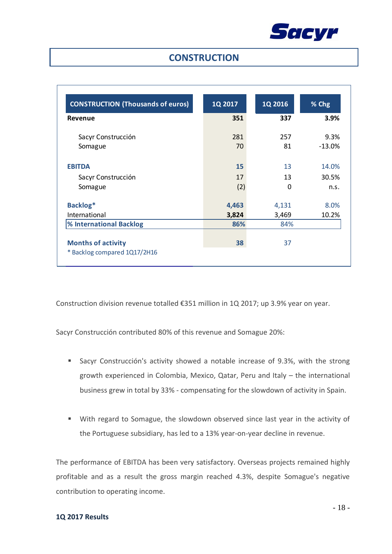

### **CONSTRUCTION**

| <b>CONSTRUCTION (Thousands of euros)</b> | 1Q 2017 | 1Q 2016 | % Chg    |
|------------------------------------------|---------|---------|----------|
| Revenue                                  | 351     | 337     | 3.9%     |
| Sacyr Construcción                       | 281     | 257     | 9.3%     |
| Somague                                  | 70      | 81      | $-13.0%$ |
| <b>EBITDA</b>                            | 15      | 13      | 14.0%    |
| Sacyr Construcción                       | 17      | 13      | 30.5%    |
| Somague                                  | (2)     | 0       | n.s.     |
| Backlog*                                 | 4,463   | 4,131   | 8.0%     |
| International                            | 3,824   | 3,469   | 10.2%    |
| % International Backlog                  | 86%     | 84%     |          |
| <b>Months of activity</b>                | 38      | 37      |          |
| * Backlog compared 1Q17/2H16             |         |         |          |

Construction division revenue totalled €351 million in 1Q 2017; up 3.9% year on year.

Sacyr Construcción contributed 80% of this revenue and Somague 20%:

- Sacyr Construcción's activity showed a notable increase of 9.3%, with the strong growth experienced in Colombia, Mexico, Qatar, Peru and Italy – the international business grew in total by 33% - compensating for the slowdown of activity in Spain.
- With regard to Somague, the slowdown observed since last year in the activity of the Portuguese subsidiary, has led to a 13% year-on-year decline in revenue.

The performance of EBITDA has been very satisfactory. Overseas projects remained highly profitable and as a result the gross margin reached 4.3%, despite Somague's negative contribution to operating income.

#### **1Q 2017 Results**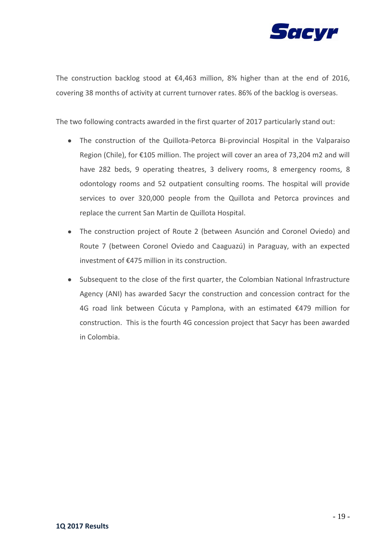

The construction backlog stood at  $\epsilon$ 4,463 million, 8% higher than at the end of 2016, covering 38 months of activity at current turnover rates. 86% of the backlog is overseas.

The two following contracts awarded in the first quarter of 2017 particularly stand out:

- The construction of the Quillota-Petorca Bi-provincial Hospital in the Valparaiso Region (Chile), for €105 million. The project will cover an area of 73,204 m2 and will have 282 beds, 9 operating theatres, 3 delivery rooms, 8 emergency rooms, 8 odontology rooms and 52 outpatient consulting rooms. The hospital will provide services to over 320,000 people from the Quillota and Petorca provinces and replace the current San Martin de Quillota Hospital.
- The construction project of Route 2 (between Asunción and Coronel Oviedo) and Route 7 (between Coronel Oviedo and Caaguazú) in Paraguay, with an expected investment of €475 million in its construction.
- Subsequent to the close of the first quarter, the Colombian National Infrastructure Agency (ANI) has awarded Sacyr the construction and concession contract for the 4G road link between Cúcuta y Pamplona, with an estimated €479 million for construction. This is the fourth 4G concession project that Sacyr has been awarded in Colombia.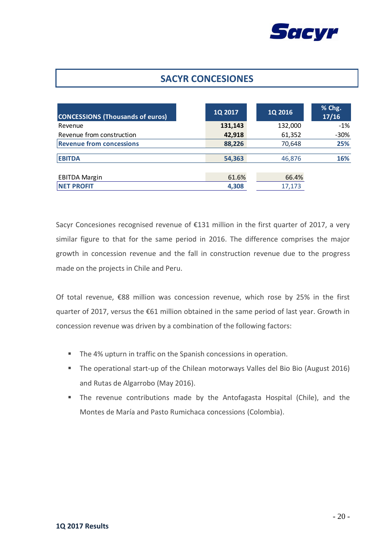

## **SACYR CONCESIONES**

| <b>CONCESSIONS (Thousands of euros)</b> | 1Q 2017 | 1Q 2016 | % Chg.<br>17/16 |
|-----------------------------------------|---------|---------|-----------------|
| Revenue                                 | 131,143 | 132,000 | $-1\%$          |
| Revenue from construction               | 42,918  | 61,352  | $-30%$          |
| <b>Revenue from concessions</b>         | 88,226  | 70,648  | 25%             |
| <b>EBITDA</b>                           | 54,363  | 46,876  | 16%             |
| <b>EBITDA Margin</b>                    | 61.6%   | 66.4%   |                 |
| <b>NET PROFIT</b>                       | 4,308   | 17,173  |                 |

Sacyr Concesiones recognised revenue of €131 million in the first quarter of 2017, a very similar figure to that for the same period in 2016. The difference comprises the major growth in concession revenue and the fall in construction revenue due to the progress made on the projects in Chile and Peru.

Of total revenue, €88 million was concession revenue, which rose by 25% in the first quarter of 2017, versus the €61 million obtained in the same period of last year. Growth in concession revenue was driven by a combination of the following factors:

- The 4% upturn in traffic on the Spanish concessions in operation.
- The operational start-up of the Chilean motorways Valles del Bio Bio (August 2016) and Rutas de Algarrobo (May 2016).
- The revenue contributions made by the Antofagasta Hospital (Chile), and the Montes de María and Pasto Rumichaca concessions (Colombia).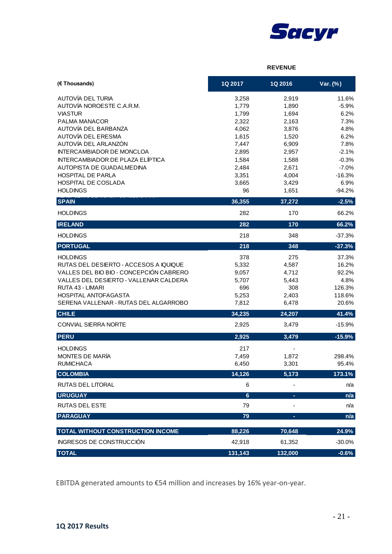

#### **REVENUE**

| (€ Thousands)                                   | 1Q 2017        | 1Q 2016        | Var. (%)        |
|-------------------------------------------------|----------------|----------------|-----------------|
| AUTOVÍA DEL TURIA                               | 3,258          | 2,919          | 11.6%           |
| AUTOVÍA NOROESTE C.A.R.M.                       | 1,779          | 1,890          | $-5.9%$         |
| <b>VIASTUR</b>                                  | 1,799          | 1,694          | 6.2%            |
| PALMA MANACOR                                   | 2,322          | 2,163          | 7.3%            |
| AUTOVÍA DEL BARBANZA                            | 4,062          | 3,876          | 4.8%            |
| AUTOVÍA DEL ERESMA<br>AUTOVÍA DEL ARLANZÓN      | 1,615<br>7,447 | 1,520<br>6,909 | 6.2%<br>7.8%    |
| <b>INTERCAMBIADOR DE MONCLOA</b>                | 2,895          | 2,957          | $-2.1%$         |
| <b>INTERCAMBIADOR DE PLAZA ELÍPTICA</b>         | 1,584          | 1,588          | $-0.3%$         |
| AUTOPISTA DE GUADALMEDINA                       | 2,484          | 2,671          | $-7.0%$         |
| HOSPITAL DE PARLA                               | 3,351          | 4,004          | $-16.3%$        |
| HOSPITAL DE COSLADA                             | 3,665          | 3,429          | 6.9%            |
| <b>HOLDINGS</b>                                 | 96             | 1,651          | $-94.2%$        |
| <b>SPAIN</b>                                    | 36,355         | 37,272         | $-2.5%$         |
| <b>HOLDINGS</b>                                 | 282            | 170            | 66.2%           |
| <b>IRELAND</b>                                  | 282            | 170            | 66.2%           |
| <b>HOLDINGS</b>                                 | 218            | 348            | $-37.3%$        |
| <b>PORTUGAL</b>                                 | 218            | 348            | $-37.3%$        |
| <b>HOLDINGS</b>                                 | 378            | 275            | 37.3%           |
| RUTAS DEL DESIERTO - ACCESOS A IQUIQUE          | 5,332          | 4,587          | 16.2%           |
| VALLES DEL BIO BIO - CONCEPCIÓN CABRERO         | 9,057          | 4,712          | 92.2%           |
| VALLES DEL DESIERTO - VALLENAR CALDERA          | 5,707          | 5,443          | 4.8%            |
| RUTA 43 - LIMARI<br><b>HOSPITAL ANTOFAGASTA</b> | 696            | 308            | 126.3%          |
| SERENA VALLENAR - RUTAS DEL ALGARROBO           | 5,253<br>7,812 | 2,403<br>6,478 | 118.6%<br>20.6% |
| <b>CHILE</b>                                    | 34,235         | 24,207         | 41.4%           |
| CONVIAL SIERRA NORTE                            | 2,925          | 3,479          | $-15.9%$        |
| <b>PERU</b>                                     | 2,925          | 3,479          | $-15.9%$        |
| <b>HOLDINGS</b>                                 | 217            |                |                 |
| MONTES DE MARÍA                                 | 7,459          | 1,872          | 298.4%          |
| <b>RUMICHACA</b>                                | 6,450          | 3,301          | 95.4%           |
| <b>COLOMBIA</b>                                 | 14,126         | 5,173          | 173.1%          |
| RUTAS DEL LITORAL                               | 6              |                | n/a             |
| <b>URUGUAY</b>                                  | $6\phantom{1}$ |                | n/a             |
| <b>RUTAS DEL ESTE</b>                           | 79             |                | n/a             |
| <b>PARAGUAY</b>                                 | 79             |                | n/a             |
| TOTAL WITHOUT CONSTRUCTION INCOME               | 88,226         | 70,648         | 24.9%           |
| INGRESOS DE CONSTRUCCIÓN                        | 42,918         | 61,352         | $-30.0%$        |
| <b>TOTAL</b>                                    | 131,143        | 132,000        | $-0.6%$         |

EBITDA generated amounts to €54 million and increases by 16% year-on-year.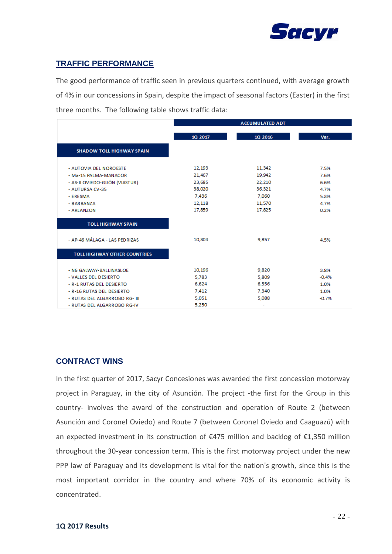

### **TRAFFIC PERFORMANCE**

The good performance of traffic seen in previous quarters continued, with average growth of 4% in our concessions in Spain, despite the impact of seasonal factors (Easter) in the first three months. The following table shows traffic data:

|                                     |         | <b>ACCUMULATED ADT</b> |         |
|-------------------------------------|---------|------------------------|---------|
|                                     |         |                        |         |
|                                     | 1Q 2017 | 1Q 2016                | Var.    |
| <b>SHADOW TOLL HIGHWAY SPAIN</b>    |         |                        |         |
|                                     |         |                        |         |
| - AUTOVIA DEL NOROESTE              | 12,193  | 11,342                 | 7.5%    |
| - Ma-15 PALMA-MANACOR               | 21,467  | 19,942                 | 7.6%    |
| - AS-II OVIEDO-GUÓN (VIASTUR)       | 23,685  | 22,210                 | 6.6%    |
| - AUTURSA CV-35                     | 38,020  | 36,321                 | 4.7%    |
| - ERESMA                            | 7,436   | 7.060                  | 5.3%    |
| - BARBANZA                          | 12,118  | 11,570                 | 4.7%    |
| - ARLANZON                          | 17,859  | 17,825                 | 0.2%    |
| <b>TOLL HIGHWAY SPAIN</b>           |         |                        |         |
|                                     |         |                        |         |
| - AP-46 MÁLAGA - LAS PEDRIZAS       | 10,304  | 9,857                  | 4.5%    |
|                                     |         |                        |         |
| <b>TOLL HIGHWAY OTHER COUNTRIES</b> |         |                        |         |
|                                     |         |                        |         |
| - N6 GALWAY-BALLINASLOE             | 10,196  | 9,820                  | 3.8%    |
| - VALLES DEL DESIERTO               | 5.783   | 5,809                  | $-0.4%$ |
| - R-1 RUTAS DEL DESIERTO            | 6.624   | 6,556                  | 1.0%    |
| - R-16 RUTAS DEL DESIERTO           | 7,412   | 7,340                  | 1.0%    |
| - RUTAS DEL ALGARROBO RG- III       | 5,051   | 5,088                  | $-0.7%$ |
| - RUTAS DEL ALGARROBO RG-IV         | 5,250   | ۰                      |         |

### **CONTRACT WINS**

In the first quarter of 2017, Sacyr Concesiones was awarded the first concession motorway project in Paraguay, in the city of Asunción. The project -the first for the Group in this country- involves the award of the construction and operation of Route 2 (between Asunción and Coronel Oviedo) and Route 7 (between Coronel Oviedo and Caaguazú) with an expected investment in its construction of €475 million and backlog of €1,350 million throughout the 30-year concession term. This is the first motorway project under the new PPP law of Paraguay and its development is vital for the nation's growth, since this is the most important corridor in the country and where 70% of its economic activity is concentrated.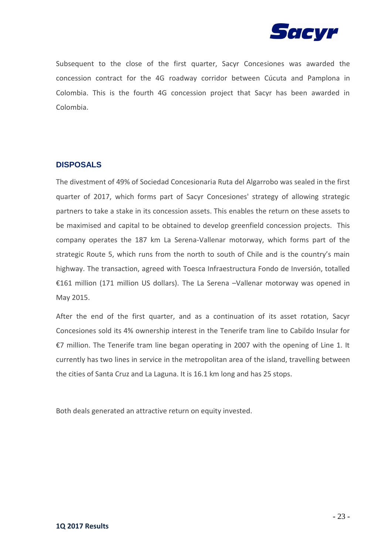

Subsequent to the close of the first quarter, Sacyr Concesiones was awarded the concession contract for the 4G roadway corridor between Cúcuta and Pamplona in Colombia. This is the fourth 4G concession project that Sacyr has been awarded in Colombia.

### **DISPOSALS**

The divestment of 49% of Sociedad Concesionaria Ruta del Algarrobo was sealed in the first quarter of 2017, which forms part of Sacyr Concesiones' strategy of allowing strategic partners to take a stake in its concession assets. This enables the return on these assets to be maximised and capital to be obtained to develop greenfield concession projects. This company operates the 187 km La Serena-Vallenar motorway, which forms part of the strategic Route 5, which runs from the north to south of Chile and is the country's main highway. The transaction, agreed with Toesca Infraestructura Fondo de Inversión, totalled €161 million (171 million US dollars). The La Serena –Vallenar motorway was opened in May 2015.

After the end of the first quarter, and as a continuation of its asset rotation, Sacyr Concesiones sold its 4% ownership interest in the Tenerife tram line to Cabildo Insular for €7 million. The Tenerife tram line began operating in 2007 with the opening of Line 1. It currently has two lines in service in the metropolitan area of the island, travelling between the cities of Santa Cruz and La Laguna. It is 16.1 km long and has 25 stops.

Both deals generated an attractive return on equity invested.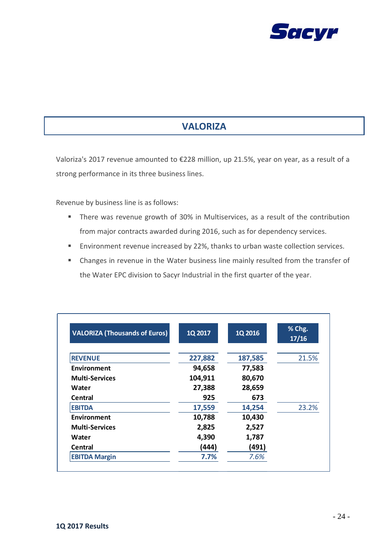

# **VALORIZA**

Valoriza's 2017 revenue amounted to €228 million, up 21.5%, year on year, as a result of a strong performance in its three business lines.

Revenue by business line is as follows:

- **There was revenue growth of 30% in Multiservices, as a result of the contribution** from major contracts awarded during 2016, such as for dependency services.
- **Environment revenue increased by 22%, thanks to urban waste collection services.**
- Changes in revenue in the Water business line mainly resulted from the transfer of the Water EPC division to Sacyr Industrial in the first quarter of the year.

| <b>VALORIZA (Thousands of Euros)</b> | 1Q 2017 | 1Q 2016 | % Chg.<br>17/16 |
|--------------------------------------|---------|---------|-----------------|
| <b>REVENUE</b>                       | 227,882 | 187,585 | 21.5%           |
| Environment                          | 94,658  | 77,583  |                 |
| <b>Multi-Services</b>                | 104,911 | 80,670  |                 |
| Water                                | 27,388  | 28,659  |                 |
| Central                              | 925     | 673     |                 |
| <b>EBITDA</b>                        | 17,559  | 14,254  | 23.2%           |
| Environment                          | 10,788  | 10,430  |                 |
| <b>Multi-Services</b>                | 2,825   | 2,527   |                 |
| Water                                | 4,390   | 1,787   |                 |
| Central                              | (444)   | (491)   |                 |
| <b>EBITDA Margin</b>                 | 7.7%    | 7.6%    |                 |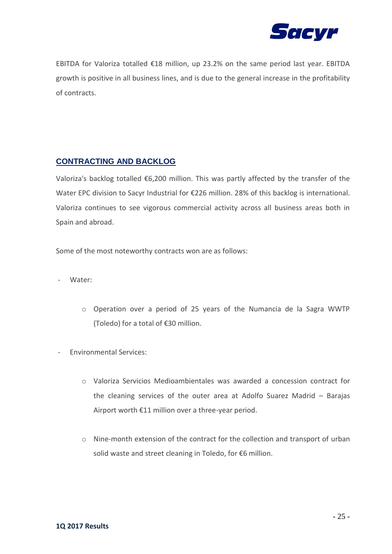

EBITDA for Valoriza totalled €18 million, up 23.2% on the same period last year. EBITDA growth is positive in all business lines, and is due to the general increase in the profitability of contracts.

### **CONTRACTING AND BACKLOG**

Valoriza's backlog totalled €6,200 million. This was partly affected by the transfer of the Water EPC division to Sacyr Industrial for €226 million. 28% of this backlog is international. Valoriza continues to see vigorous commercial activity across all business areas both in Spain and abroad.

Some of the most noteworthy contracts won are as follows:

- Water:
	- o Operation over a period of 25 years of the Numancia de la Sagra WWTP (Toledo) for a total of €30 million.
- Environmental Services:
	- o Valoriza Servicios Medioambientales was awarded a concession contract for the cleaning services of the outer area at Adolfo Suarez Madrid – Barajas Airport worth €11 million over a three-year period.
	- o Nine-month extension of the contract for the collection and transport of urban solid waste and street cleaning in Toledo, for €6 million.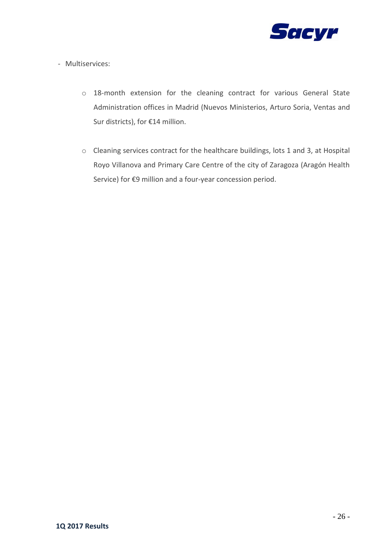

- Multiservices:
	- o 18-month extension for the cleaning contract for various General State Administration offices in Madrid (Nuevos Ministerios, Arturo Soria, Ventas and Sur districts), for €14 million.
	- o Cleaning services contract for the healthcare buildings, lots 1 and 3, at Hospital Royo Villanova and Primary Care Centre of the city of Zaragoza (Aragón Health Service) for €9 million and a four-year concession period.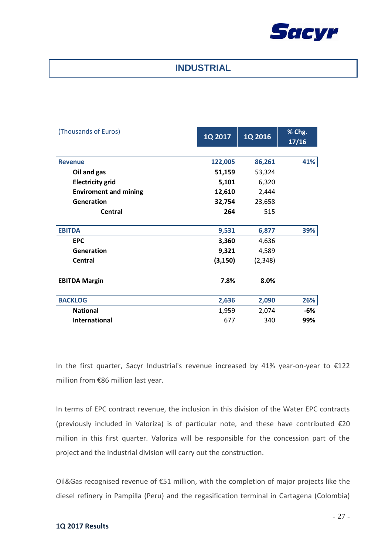

### **INDUSTRIAL**

| (Thousands of Euros)         | 1Q 2017  | 1Q 2016 | % Chg.<br>17/16 |
|------------------------------|----------|---------|-----------------|
|                              |          |         |                 |
| <b>Revenue</b>               | 122,005  | 86,261  | 41%             |
| Oil and gas                  | 51,159   | 53,324  |                 |
| <b>Electricity grid</b>      | 5,101    | 6,320   |                 |
| <b>Enviroment and mining</b> | 12,610   | 2,444   |                 |
| Generation                   | 32,754   | 23,658  |                 |
| <b>Central</b>               | 264      | 515     |                 |
| <b>EBITDA</b>                | 9,531    | 6,877   | 39%             |
| <b>EPC</b>                   | 3,360    | 4,636   |                 |
| Generation                   | 9,321    | 4,589   |                 |
| <b>Central</b>               | (3, 150) | (2,348) |                 |
| <b>EBITDA Margin</b>         | 7.8%     | 8.0%    |                 |
| <b>BACKLOG</b>               | 2,636    | 2,090   | 26%             |
| <b>National</b>              | 1,959    | 2,074   | -6%             |
| <b>International</b>         | 677      | 340     | 99%             |

In the first quarter, Sacyr Industrial's revenue increased by 41% year-on-year to €122 million from €86 million last year.

In terms of EPC contract revenue, the inclusion in this division of the Water EPC contracts (previously included in Valoriza) is of particular note, and these have contributed €20 million in this first quarter. Valoriza will be responsible for the concession part of the project and the Industrial division will carry out the construction.

Oil&Gas recognised revenue of €51 million, with the completion of major projects like the diesel refinery in Pampilla (Peru) and the regasification terminal in Cartagena (Colombia)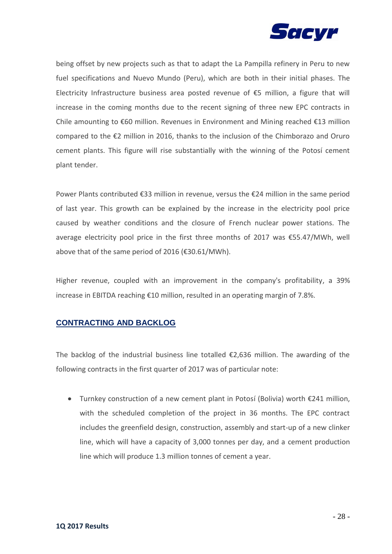

being offset by new projects such as that to adapt the La Pampilla refinery in Peru to new fuel specifications and Nuevo Mundo (Peru), which are both in their initial phases. The Electricity Infrastructure business area posted revenue of €5 million, a figure that will increase in the coming months due to the recent signing of three new EPC contracts in Chile amounting to €60 million. Revenues in Environment and Mining reached €13 million compared to the €2 million in 2016, thanks to the inclusion of the Chimborazo and Oruro cement plants. This figure will rise substantially with the winning of the Potosí cement plant tender.

Power Plants contributed €33 million in revenue, versus the €24 million in the same period of last year. This growth can be explained by the increase in the electricity pool price caused by weather conditions and the closure of French nuclear power stations. The average electricity pool price in the first three months of 2017 was €55.47/MWh, well above that of the same period of 2016 (€30.61/MWh).

Higher revenue, coupled with an improvement in the company's profitability, a 39% increase in EBITDA reaching €10 million, resulted in an operating margin of 7.8%.

### **CONTRACTING AND BACKLOG**

The backlog of the industrial business line totalled  $\epsilon$ 2,636 million. The awarding of the following contracts in the first quarter of 2017 was of particular note:

• Turnkey construction of a new cement plant in Potosí (Bolivia) worth  $€241$  million, with the scheduled completion of the project in 36 months. The EPC contract includes the greenfield design, construction, assembly and start-up of a new clinker line, which will have a capacity of 3,000 tonnes per day, and a cement production line which will produce 1.3 million tonnes of cement a year.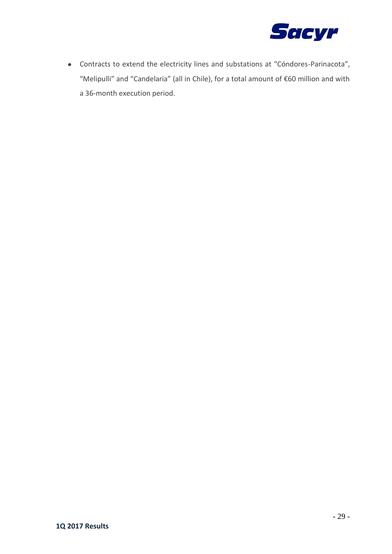

Contracts to extend the electricity lines and substations at "Cóndores-Parinacota", "Melipulli" and "Candelaria" (all in Chile), for a total amount of €60 million and with a 36-month execution period.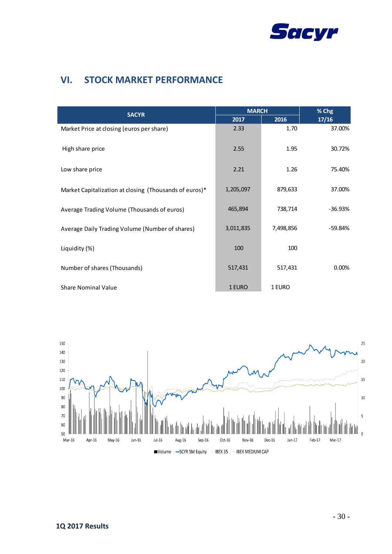

# **VI. STOCK MARKET PERFORMANCE**

|                                                        | <b>MARCH</b> |           | % Chg     |  |
|--------------------------------------------------------|--------------|-----------|-----------|--|
| <b>SACYR</b>                                           | 2017         | 2016      | 17/16     |  |
| Market Price at closing (euros per share)              | 2.33         | 1.70      | 37.00%    |  |
| High share price                                       | 2.55         | 1.95      | 30.72%    |  |
| Low share price                                        | 2.21         | 1.26      | 75.40%    |  |
| Market Capitalization at closing (Thousands of euros)* | 1,205,097    | 879,633   | 37.00%    |  |
| Average Trading Volume (Thousands of euros)            | 465,894      | 738,714   | $-36.93%$ |  |
| Average Daily Trading Volume (Number of shares)        | 3,011,835    | 7,498,856 | -59.84%   |  |
| Liquidity (%)                                          | 100          | 100       |           |  |
| Number of shares (Thousands)                           | 517,431      | 517,431   | $0.00\%$  |  |
| <b>Share Nominal Value</b>                             | 1 EURO       | 1 EURO    |           |  |

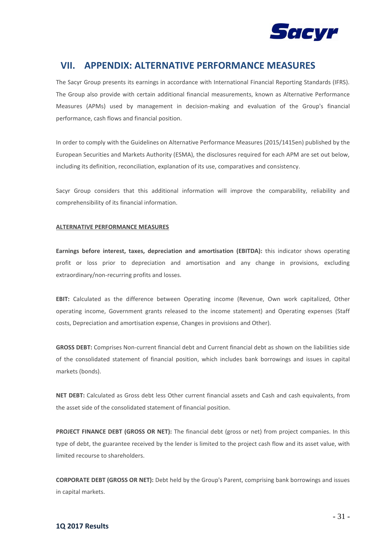

### **VII. APPENDIX: ALTERNATIVE PERFORMANCE MEASURES**

The Sacyr Group presents its earnings in accordance with International Financial Reporting Standards (IFRS). The Group also provide with certain additional financial measurements, known as Alternative Performance Measures (APMs) used by management in decision-making and evaluation of the Group's financial performance, cash flows and financial position.

In order to comply with the Guidelines on Alternative Performance Measures (2015/1415en) published by the European Securities and Markets Authority (ESMA), the disclosures required for each APM are set out below, including its definition, reconciliation, explanation of its use, comparatives and consistency.

Sacyr Group considers that this additional information will improve the comparability, reliability and comprehensibility of its financial information.

#### **ALTERNATIVE PERFORMANCE MEASURES**

**Earnings before interest, taxes, depreciation and amortisation (EBITDA):** this indicator shows operating profit or loss prior to depreciation and amortisation and any change in provisions, excluding extraordinary/non-recurring profits and losses.

**EBIT:** Calculated as the difference between Operating income (Revenue, Own work capitalized, Other operating income, Government grants released to the income statement) and Operating expenses (Staff costs, Depreciation and amortisation expense, Changes in provisions and Other).

**GROSS DEBT:** Comprises Non-current financial debt and Current financial debt as shown on the liabilities side of the consolidated statement of financial position, which includes bank borrowings and issues in capital markets (bonds).

**NET DEBT:** Calculated as Gross debt less Other current financial assets and Cash and cash equivalents, from the asset side of the consolidated statement of financial position.

**PROJECT FINANCE DEBT (GROSS OR NET):** The financial debt (gross or net) from project companies. In this type of debt, the guarantee received by the lender is limited to the project cash flow and its asset value, with limited recourse to shareholders.

**CORPORATE DEBT (GROSS OR NET):** Debt held by the Group's Parent, comprising bank borrowings and issues in capital markets.